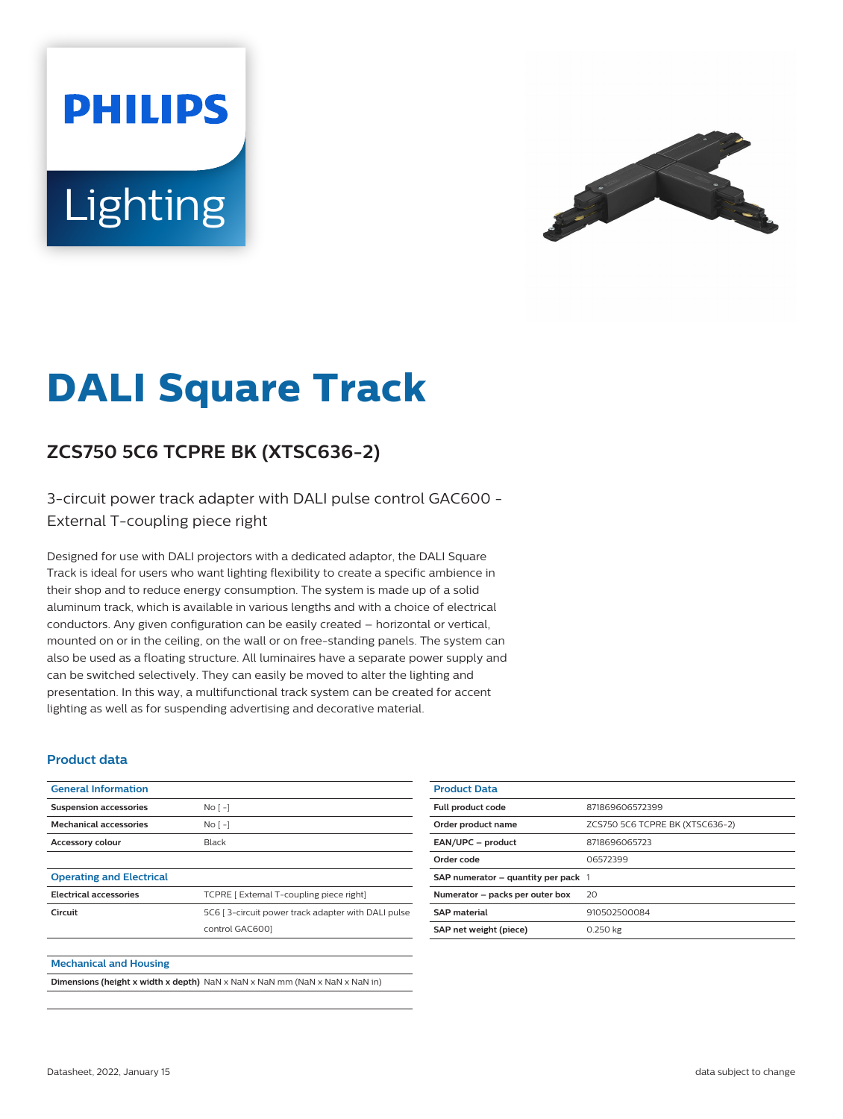# **PHILIPS** Lighting



## **DALI Square Track**

### **ZCS750 5C6 TCPRE BK (XTSC636-2)**

3-circuit power track adapter with DALI pulse control GAC600 - External T-coupling piece right

Designed for use with DALI projectors with a dedicated adaptor, the DALI Square Track is ideal for users who want lighting flexibility to create a specific ambience in their shop and to reduce energy consumption. The system is made up of a solid aluminum track, which is available in various lengths and with a choice of electrical conductors. Any given configuration can be easily created – horizontal or vertical, mounted on or in the ceiling, on the wall or on free-standing panels. The system can also be used as a floating structure. All luminaires have a separate power supply and can be switched selectively. They can easily be moved to alter the lighting and presentation. In this way, a multifunctional track system can be created for accent lighting as well as for suspending advertising and decorative material.

#### **Product data**

| <b>General Information</b>      |                                                    |
|---------------------------------|----------------------------------------------------|
| <b>Suspension accessories</b>   | No <sub>1</sub>                                    |
| <b>Mechanical accessories</b>   | No <sub>1</sub>                                    |
| <b>Accessory colour</b>         | Black                                              |
|                                 |                                                    |
| <b>Operating and Electrical</b> |                                                    |
| <b>Electrical accessories</b>   | TCPRE [ External T-coupling piece right]           |
| Circuit                         | 5C6 [3-circuit power track adapter with DALI pulse |
|                                 | control GAC6001                                    |
|                                 |                                                    |
| <b>Mechanical and Housing</b>   |                                                    |

|  | <b>Dimensions (height x width x depth)</b> NaN x NaN x NaN mm (NaN x NaN x NaN in) |
|--|------------------------------------------------------------------------------------|
|--|------------------------------------------------------------------------------------|

| <b>Product Data</b>                     |                                 |
|-----------------------------------------|---------------------------------|
| <b>Full product code</b>                | 871869606572399                 |
| Order product name                      | ZCS750 5C6 TCPRE BK (XTSC636-2) |
| EAN/UPC - product                       | 8718696065723                   |
| Order code                              | 06572399                        |
| SAP numerator $-$ quantity per pack $1$ |                                 |
| Numerator - packs per outer box         | 20                              |
| <b>SAP material</b>                     | 910502500084                    |
| SAP net weight (piece)                  | 0.250 kg                        |
|                                         |                                 |